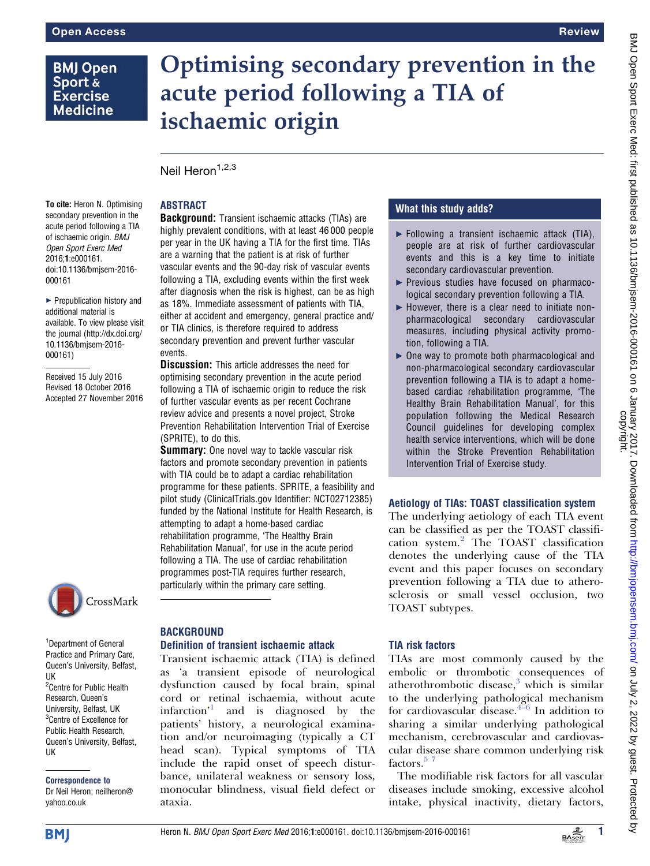**BMJ Open** Sport & **Exercise Medicine** 

# Optimising secondary prevention in the acute period following a TIA of ischaemic origin Neil Heron<sup>1,2,3</sup> ABSTRACT **Background:** Transient ischaemic attacks (TIAs) are

To cite: Heron N. Optimising secondary prevention in the acute period following a TIA of ischaemic origin. BMJ Open Sport Exerc Med 2016;1:e000161. doi:10.1136/bmjsem-2016- 000161

 $\blacktriangleright$  Prepublication history and additional material is available. To view please visit the journal (http://dx.doi.org/ 10.1136/bmjsem-2016- 000161)

Received 15 July 2016 Revised 18 October 2016 Accepted 27 November 2016



#### <sup>1</sup>Department of General Practice and Primary Care, Queen's University, Belfast, UK <sup>2</sup> Centre for Public Health Research, Queen's University, Belfast, UK <sup>3</sup>Centre of Excellence for Public Health Research, Queen's University, Belfast, UK

Correspondence to Dr Neil Heron; neilheron@ yahoo.co.uk

highly prevalent conditions, with at least 46 000 people per year in the UK having a TIA for the first time. TIAs are a warning that the patient is at risk of further vascular events and the 90-day risk of vascular events following a TIA, excluding events within the first week after diagnosis when the risk is highest, can be as high as 18%. Immediate assessment of patients with TIA, either at accident and emergency, general practice and/ or TIA clinics, is therefore required to address secondary prevention and prevent further vascular events.

**Discussion:** This article addresses the need for optimising secondary prevention in the acute period following a TIA of ischaemic origin to reduce the risk of further vascular events as per recent Cochrane review advice and presents a novel project, Stroke Prevention Rehabilitation Intervention Trial of Exercise (SPRITE), to do this.

**Summary:** One novel way to tackle vascular risk factors and promote secondary prevention in patients with TIA could be to adapt a cardiac rehabilitation programme for these patients. SPRITE, a feasibility and pilot study (ClinicalTrials.gov Identifier: NCT02712385) funded by the National Institute for Health Research, is attempting to adapt a home-based cardiac rehabilitation programme, 'The Healthy Brain Rehabilitation Manual', for use in the acute period following a TIA. The use of cardiac rehabilitation programmes post-TIA requires further research, particularly within the primary care setting.

# **BACKGROUND**

# Definition of transient ischaemic attack

Transient ischaemic attack (TIA) is defined as 'a transient episode of neurological dysfunction caused by focal brain, spinal cord or retinal ischaemia, without acute infarction'[1](#page-2-0) and is diagnosed by the patients' history, a neurological examination and/or neuroimaging (typically a CT head scan). Typical symptoms of TIA include the rapid onset of speech disturbance, unilateral weakness or sensory loss, monocular blindness, visual field defect or ataxia.

# What this study adds?

- $\blacktriangleright$  Following a transient ischaemic attack (TIA), people are at risk of further cardiovascular events and this is a key time to initiate secondary cardiovascular prevention.
- **Previous studies have focused on pharmaco**logical secondary prevention following a TIA.
- $\blacktriangleright$  However, there is a clear need to initiate nonpharmacological secondary cardiovascular measures, including physical activity promotion, following a TIA.
- $\triangleright$  One way to promote both pharmacological and non-pharmacological secondary cardiovascular prevention following a TIA is to adapt a homebased cardiac rehabilitation programme, 'The Healthy Brain Rehabilitation Manual', for this population following the Medical Research Council guidelines for developing complex health service interventions, which will be done within the Stroke Prevention Rehabilitation Intervention Trial of Exercise study.

# Aetiology of TIAs: TOAST classification system

The underlying aetiology of each TIA event can be classified as per the TOAST classification system.[2](#page-2-0) The TOAST classification denotes the underlying cause of the TIA event and this paper focuses on secondary prevention following a TIA due to atherosclerosis or small vessel occlusion, two TOAST subtypes.

# TIA risk factors

TIAs are most commonly caused by the embolic or thrombotic consequences of atherothrombotic disease, $3$  which is similar to the underlying pathological mechanism for cardiovascular disease.<sup>[4–6](#page-2-0)</sup> In addition to sharing a similar underlying pathological mechanism, cerebrovascular and cardiovascular disease share common underlying risk factors.<sup>5</sup>

The modifiable risk factors for all vascular diseases include smoking, excessive alcohol intake, physical inactivity, dietary factors,



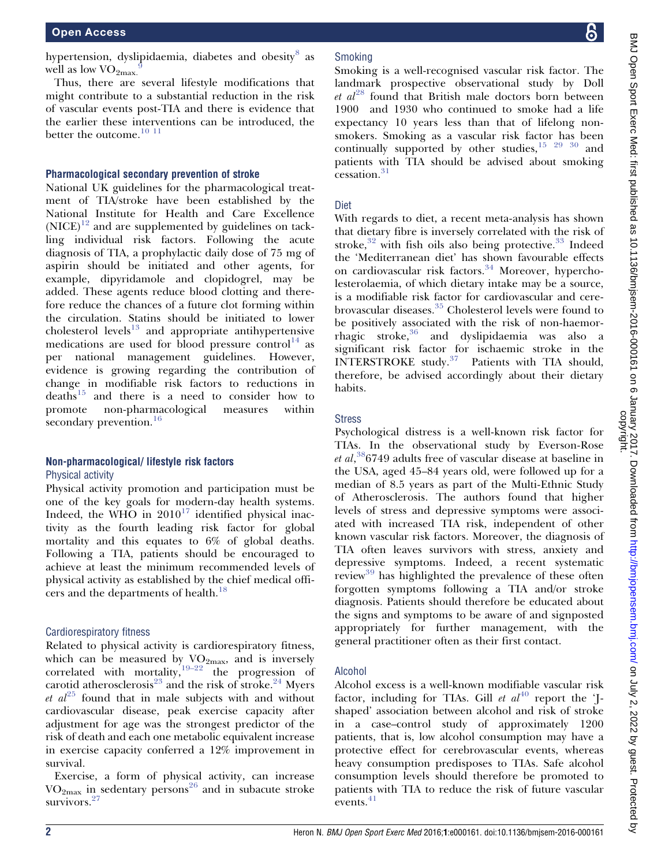hypertension, dyslipidaemia, diabetes and obesity $^8$  $^8$  as well as low  $\mathrm{VO_{2max}}^9$  $\mathrm{VO_{2max}}^9$ .

Thus, there are several lifestyle modifications that might contribute to a substantial reduction in the risk of vascular events post-TIA and there is evidence that the earlier these interventions can be introduced, the better the outcome.<sup>[10 11](#page-3-0)</sup>

#### Pharmacological secondary prevention of stroke

National UK guidelines for the pharmacological treatment of TIA/stroke have been established by the National Institute for Health and Care Excellence  $(NICE)^{12}$  $(NICE)^{12}$  $(NICE)^{12}$  and are supplemented by guidelines on tackling individual risk factors. Following the acute diagnosis of TIA, a prophylactic daily dose of 75 mg of aspirin should be initiated and other agents, for example, dipyridamole and clopidogrel, may be added. These agents reduce blood clotting and therefore reduce the chances of a future clot forming within the circulation. Statins should be initiated to lower cholesterol levels $13$  and appropriate antihypertensive medications are used for blood pressure control<sup>[14](#page-3-0)</sup> as per national management guidelines. However, evidence is growing regarding the contribution of change in modifiable risk factors to reductions in  $deaths$ <sup>[15](#page-3-0)</sup> and there is a need to consider how to promote non-pharmacological measures within secondary prevention.<sup>[16](#page-3-0)</sup>

#### Non-pharmacological/ lifestyle risk factors

Physical activity

Physical activity promotion and participation must be one of the key goals for modern-day health systems. Indeed, the WHO in  $2010^{17}$  $2010^{17}$  $2010^{17}$  identified physical inactivity as the fourth leading risk factor for global mortality and this equates to 6% of global deaths. Following a TIA, patients should be encouraged to achieve at least the minimum recommended levels of physical activity as established by the chief medical offi-cers and the departments of health.<sup>[18](#page-3-0)</sup>

#### Cardiorespiratory fitness

Related to physical activity is cardiorespiratory fitness, which can be measured by  $VO_{2max}$ , and is inversely correlated with mortality, $19-22$  the progression of carotid atherosclerosis<sup>[23](#page-3-0)</sup> and the risk of stroke.<sup>[24](#page-3-0)</sup> Myers et  $al^{25}$  $al^{25}$  $al^{25}$  found that in male subjects with and without cardiovascular disease, peak exercise capacity after adjustment for age was the strongest predictor of the risk of death and each one metabolic equivalent increase in exercise capacity conferred a 12% improvement in survival.

Exercise, a form of physical activity, can increase  $VO<sub>2max</sub>$  in sedentary persons<sup>[26](#page-3-0)</sup> and in subacute stroke survivors.<sup>[27](#page-3-0)</sup>

# Smoking

Smoking is a well-recognised vascular risk factor. The landmark prospective observational study by Doll  $et$   $al^{28}$  $al^{28}$  $al^{28}$  found that British male doctors born between 1900 and 1930 who continued to smoke had a life expectancy 10 years less than that of lifelong nonsmokers. Smoking as a vascular risk factor has been continually supported by other studies,  $15^{29}$  30 and patients with TIA should be advised about smoking  $c$ essation. $31$ 

#### Diet

With regards to diet, a recent meta-analysis has shown that dietary fibre is inversely correlated with the risk of stroke, $32$  with fish oils also being protective. $33$  Indeed the 'Mediterranean diet' has shown favourable effects on cardiovascular risk factors.<sup>[34](#page-3-0)</sup> Moreover, hypercholesterolaemia, of which dietary intake may be a source, is a modifiable risk factor for cardiovascular and cerebrovascular diseases.[35](#page-3-0) Cholesterol levels were found to be positively associated with the risk of non-haemorrhagic stroke,[36](#page-3-0) and dyslipidaemia was also a significant risk factor for ischaemic stroke in the INTERSTROKE study.[37](#page-3-0) Patients with TIA should, therefore, be advised accordingly about their dietary habits.

#### **Stress**

Psychological distress is a well-known risk factor for TIAs. In the observational study by Everson-Rose et al,<sup>[38](#page-3-0)</sup>6749 adults free of vascular disease at baseline in the USA, aged 45–84 years old, were followed up for a median of 8.5 years as part of the Multi-Ethnic Study of Atherosclerosis. The authors found that higher levels of stress and depressive symptoms were associated with increased TIA risk, independent of other known vascular risk factors. Moreover, the diagnosis of TIA often leaves survivors with stress, anxiety and depressive symptoms. Indeed, a recent systematic review<sup>[39](#page-3-0)</sup> has highlighted the prevalence of these often forgotten symptoms following a TIA and/or stroke diagnosis. Patients should therefore be educated about the signs and symptoms to be aware of and signposted appropriately for further management, with the general practitioner often as their first contact.

#### Alcohol

Alcohol excess is a well-known modifiable vascular risk factor, including for TIAs. Gill et  $al^{40}$  $al^{40}$  $al^{40}$  report the 'Jshaped' association between alcohol and risk of stroke in a case–control study of approximately 1200 patients, that is, low alcohol consumption may have a protective effect for cerebrovascular events, whereas heavy consumption predisposes to TIAs. Safe alcohol consumption levels should therefore be promoted to patients with TIA to reduce the risk of future vascular events. $41$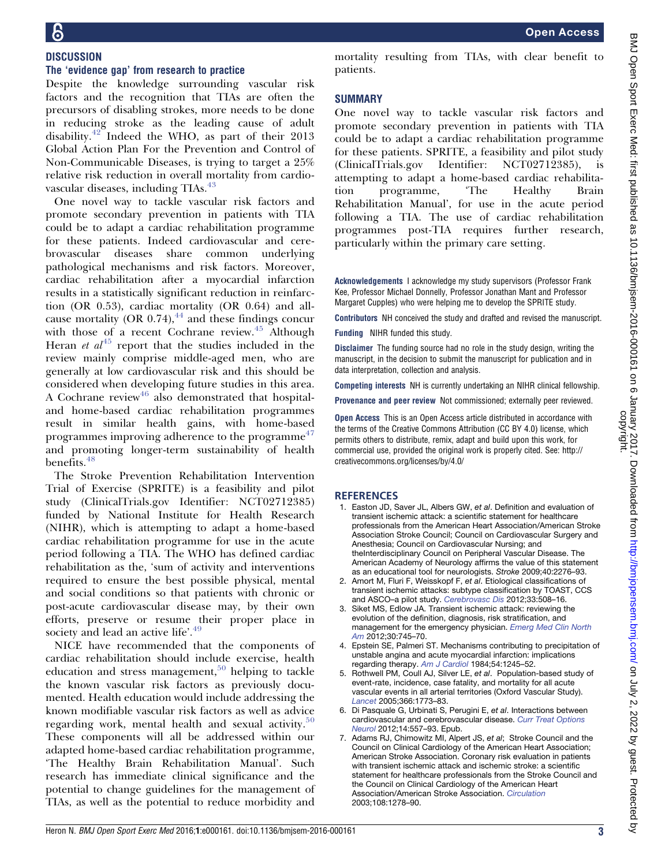# <span id="page-2-0"></span>**DISCUSSION**

### The 'evidence gap' from research to practice

Despite the knowledge surrounding vascular risk factors and the recognition that TIAs are often the precursors of disabling strokes, more needs to be done in reducing stroke as the leading cause of adult disability. $42$ <sup> $\degree$ </sup>Indeed the WHO, as part of their 2013 Global Action Plan For the Prevention and Control of Non-Communicable Diseases, is trying to target a 25% relative risk reduction in overall mortality from cardio-vascular diseases, including TIAs.<sup>[43](#page-3-0)</sup>

One novel way to tackle vascular risk factors and promote secondary prevention in patients with TIA could be to adapt a cardiac rehabilitation programme for these patients. Indeed cardiovascular and cerebrovascular diseases share common underlying pathological mechanisms and risk factors. Moreover, cardiac rehabilitation after a myocardial infarction results in a statistically significant reduction in reinfarction (OR 0.53), cardiac mortality (OR 0.64) and allcause mortality (OR  $0.74$ ),<sup>[44](#page-3-0)</sup> and these findings concur with those of a recent Cochrane review.<sup>[45](#page-3-0)</sup> Although Heran *et al*<sup>[45](#page-3-0)</sup> report that the studies included in the review mainly comprise middle-aged men, who are generally at low cardiovascular risk and this should be considered when developing future studies in this area. A Cochrane review<sup>[46](#page-3-0)</sup> also demonstrated that hospitaland home-based cardiac rehabilitation programmes result in similar health gains, with home-based programmes improving adherence to the programme $47$ and promoting longer-term sustainability of health benefits.[48](#page-3-0)

The Stroke Prevention Rehabilitation Intervention Trial of Exercise (SPRITE) is a feasibility and pilot study (ClinicalTrials.gov Identifier: NCT02712385) funded by National Institute for Health Research (NIHR), which is attempting to adapt a home-based cardiac rehabilitation programme for use in the acute period following a TIA. The WHO has defined cardiac rehabilitation as the, 'sum of activity and interventions required to ensure the best possible physical, mental and social conditions so that patients with chronic or post-acute cardiovascular disease may, by their own efforts, preserve or resume their proper place in society and lead an active life'. $49$ 

NICE have recommended that the components of cardiac rehabilitation should include exercise, health education and stress management, $50$  helping to tackle the known vascular risk factors as previously documented. Health education would include addressing the known modifiable vascular risk factors as well as advice regarding work, mental health and sexual activity. $50$ These components will all be addressed within our adapted home-based cardiac rehabilitation programme, 'The Healthy Brain Rehabilitation Manual'. Such research has immediate clinical significance and the potential to change guidelines for the management of TIAs, as well as the potential to reduce morbidity and mortality resulting from TIAs, with clear benefit to patients.

# **SUMMARY**

One novel way to tackle vascular risk factors and promote secondary prevention in patients with TIA could be to adapt a cardiac rehabilitation programme for these patients. SPRITE, a feasibility and pilot study (ClinicalTrials.gov Identifier: NCT02712385), is attempting to adapt a home-based cardiac rehabilitation programme, 'The Healthy Brain Rehabilitation Manual', for use in the acute period following a TIA. The use of cardiac rehabilitation programmes post-TIA requires further research, particularly within the primary care setting.

Acknowledgements I acknowledge my study supervisors (Professor Frank Kee, Professor Michael Donnelly, Professor Jonathan Mant and Professor Margaret Cupples) who were helping me to develop the SPRITE study.

Contributors NH conceived the study and drafted and revised the manuscript.

Funding NIHR funded this study.

Disclaimer The funding source had no role in the study design, writing the manuscript, in the decision to submit the manuscript for publication and in data interpretation, collection and analysis.

Competing interests NH is currently undertaking an NIHR clinical fellowship.

Provenance and peer review Not commissioned; externally peer reviewed.

Open Access This is an Open Access article distributed in accordance with the terms of the Creative Commons Attribution (CC BY 4.0) license, which permits others to distribute, remix, adapt and build upon this work, for commercial use, provided the original work is properly cited. See: [http://](http://creativecommons.org/licenses/by/4.0/) [creativecommons.org/licenses/by/4.0/](http://creativecommons.org/licenses/by/4.0/)

# **REFERENCES**

- 1. Easton JD, Saver JL, Albers GW, et al. Definition and evaluation of transient ischemic attack: a scientific statement for healthcare professionals from the American Heart Association/American Stroke Association Stroke Council; Council on Cardiovascular Surgery and Anesthesia; Council on Cardiovascular Nursing; and theInterdisciplinary Council on Peripheral Vascular Disease. The American Academy of Neurology affirms the value of this statement as an educational tool for neurologists. Stroke 2009;40:2276–93.
- 2. Amort M, Fluri F, Weisskopf F, et al. Etiological classifications of transient ischemic attacks: subtype classification by TOAST, CCS and ASCO–a pilot study. [Cerebrovasc Dis](http://dx.doi.org/10.1159/000337236) 2012;33:508–16.
- 3. Siket MS, Edlow JA. Transient ischemic attack: reviewing the evolution of the definition, diagnosis, risk stratification, and management for the emergency physician. [Emerg Med Clin North](http://dx.doi.org/10.1016/j.emc.2012.05.001) [Am](http://dx.doi.org/10.1016/j.emc.2012.05.001) 2012;30:745–70.
- 4. Epstein SE, Palmeri ST. Mechanisms contributing to precipitation of unstable angina and acute myocardial infarction: implications regarding therapy. [Am J Cardiol](http://dx.doi.org/10.1016/S0002-9149(84)80074-0) 1984;54:1245–52.
- 5. Rothwell PM, Coull AJ, Silver LE, et al. Population-based study of event-rate, incidence, case fatality, and mortality for all acute vascular events in all arterial territories (Oxford Vascular Study). [Lancet](http://dx.doi.org/10.1016/S0140-6736(05)67702-1) 2005;366:1773–83.
- 6. Di Pasquale G, Urbinati S, Perugini E, et al. Interactions between cardiovascular and cerebrovascular disease. [Curr Treat Options](http://dx.doi.org/10.1007/s11940-012-0204-7) [Neurol](http://dx.doi.org/10.1007/s11940-012-0204-7) 2012;14:557–93. Epub.
- 7. Adams RJ, Chimowitz MI, Alpert JS, et al; Stroke Council and the Council on Clinical Cardiology of the American Heart Association; American Stroke Association. Coronary risk evaluation in patients with transient ischemic attack and ischemic stroke: a scientific statement for healthcare professionals from the Stroke Council and the Council on Clinical Cardiology of the American Heart Association/American Stroke Association. [Circulation](http://dx.doi.org/10.1161/01.CIR.0000090444.87006.CF) 2003;108:1278–90.